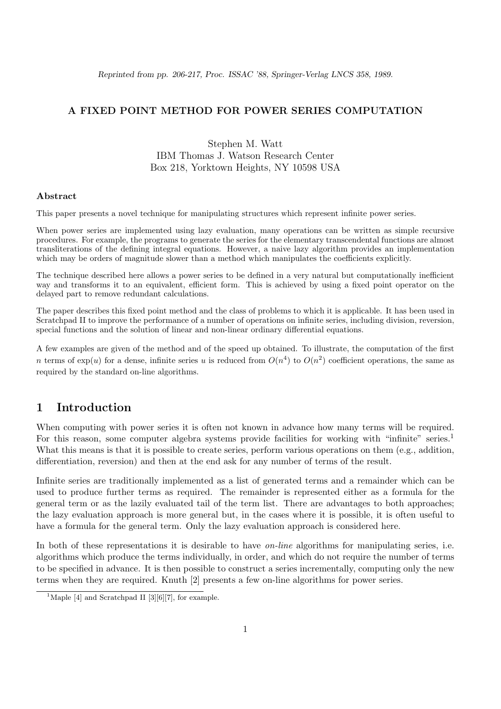#### A FIXED POINT METHOD FOR POWER SERIES COMPUTATION

Stephen M. Watt IBM Thomas J. Watson Research Center Box 218, Yorktown Heights, NY 10598 USA

#### Abstract

This paper presents a novel technique for manipulating structures which represent infinite power series.

When power series are implemented using lazy evaluation, many operations can be written as simple recursive procedures. For example, the programs to generate the series for the elementary transcendental functions are almost transliterations of the defining integral equations. However, a naive lazy algorithm provides an implementation which may be orders of magnitude slower than a method which manipulates the coefficients explicitly.

The technique described here allows a power series to be defined in a very natural but computationally inefficient way and transforms it to an equivalent, efficient form. This is achieved by using a fixed point operator on the delayed part to remove redundant calculations.

The paper describes this fixed point method and the class of problems to which it is applicable. It has been used in Scratchpad II to improve the performance of a number of operations on infinite series, including division, reversion, special functions and the solution of linear and non-linear ordinary differential equations.

A few examples are given of the method and of the speed up obtained. To illustrate, the computation of the first n terms of  $\exp(u)$  for a dense, infinite series u is reduced from  $O(n^4)$  to  $O(n^2)$  coefficient operations, the same as required by the standard on-line algorithms.

#### 1 Introduction

When computing with power series it is often not known in advance how many terms will be required. For this reason, some computer algebra systems provide facilities for working with "infinite" series.<sup>1</sup> What this means is that it is possible to create series, perform various operations on them (e.g., addition, differentiation, reversion) and then at the end ask for any number of terms of the result.

Infinite series are traditionally implemented as a list of generated terms and a remainder which can be used to produce further terms as required. The remainder is represented either as a formula for the general term or as the lazily evaluated tail of the term list. There are advantages to both approaches; the lazy evaluation approach is more general but, in the cases where it is possible, it is often useful to have a formula for the general term. Only the lazy evaluation approach is considered here.

In both of these representations it is desirable to have *on-line* algorithms for manipulating series, i.e. algorithms which produce the terms individually, in order, and which do not require the number of terms to be specified in advance. It is then possible to construct a series incrementally, computing only the new terms when they are required. Knuth [2] presents a few on-line algorithms for power series.

<sup>&</sup>lt;sup>1</sup>Maple [4] and Scratchpad II [3][6][7], for example.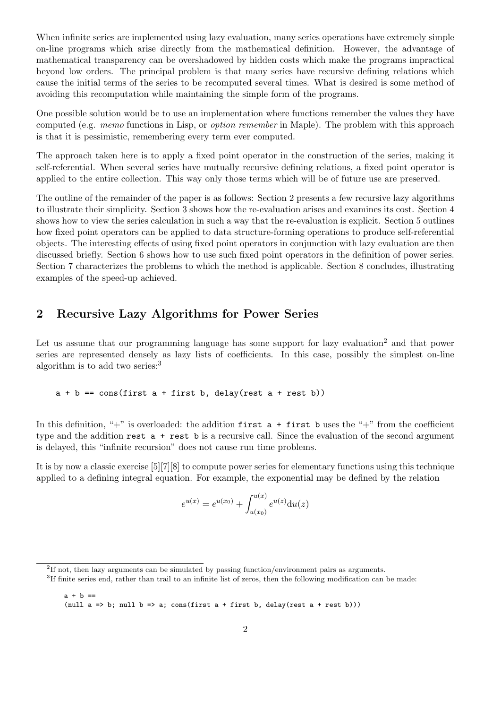When infinite series are implemented using lazy evaluation, many series operations have extremely simple on-line programs which arise directly from the mathematical definition. However, the advantage of mathematical transparency can be overshadowed by hidden costs which make the programs impractical beyond low orders. The principal problem is that many series have recursive defining relations which cause the initial terms of the series to be recomputed several times. What is desired is some method of avoiding this recomputation while maintaining the simple form of the programs.

One possible solution would be to use an implementation where functions remember the values they have computed (e.g. *memo* functions in Lisp, or *option remember* in Maple). The problem with this approach is that it is pessimistic, remembering every term ever computed.

The approach taken here is to apply a fixed point operator in the construction of the series, making it self-referential. When several series have mutually recursive defining relations, a fixed point operator is applied to the entire collection. This way only those terms which will be of future use are preserved.

The outline of the remainder of the paper is as follows: Section 2 presents a few recursive lazy algorithms to illustrate their simplicity. Section 3 shows how the re-evaluation arises and examines its cost. Section 4 shows how to view the series calculation in such a way that the re-evaluation is explicit. Section 5 outlines how fixed point operators can be applied to data structure-forming operations to produce self-referential objects. The interesting effects of using fixed point operators in conjunction with lazy evaluation are then discussed briefly. Section 6 shows how to use such fixed point operators in the definition of power series. Section 7 characterizes the problems to which the method is applicable. Section 8 concludes, illustrating examples of the speed-up achieved.

# 2 Recursive Lazy Algorithms for Power Series

Let us assume that our programming language has some support for lazy evaluation<sup>2</sup> and that power series are represented densely as lazy lists of coefficients. In this case, possibly the simplest on-line algorithm is to add two series: $3$ 

 $a + b == \cos(first a + first b, delay(rest a + rest b))$ 

In this definition, "+" is overloaded: the addition first  $a +$  first b uses the "+" from the coefficient type and the addition rest a + rest b is a recursive call. Since the evaluation of the second argument is delayed, this "infinite recursion" does not cause run time problems.

It is by now a classic exercise [5][7][8] to compute power series for elementary functions using this technique applied to a defining integral equation. For example, the exponential may be defined by the relation

$$
e^{u(x)} = e^{u(x_0)} + \int_{u(x_0)}^{u(x)} e^{u(z)} du(z)
$$

<sup>&</sup>lt;sup>2</sup>If not, then lazy arguments can be simulated by passing function/environment pairs as arguments.

<sup>3</sup> If finite series end, rather than trail to an infinite list of zeros, then the following modification can be made:

 $a + b ==$ (null  $a \Rightarrow b$ ; null  $b \Rightarrow a$ ; cons(first  $a +$  first  $b$ , delay(rest  $a +$  rest  $b$ )))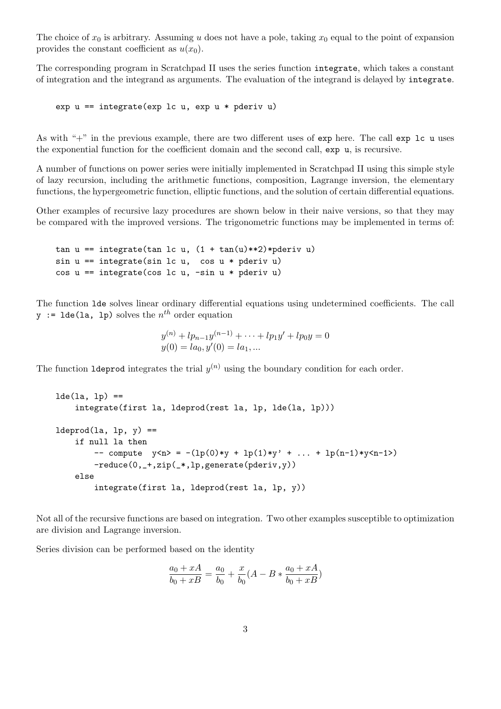The choice of  $x_0$  is arbitrary. Assuming u does not have a pole, taking  $x_0$  equal to the point of expansion provides the constant coefficient as  $u(x_0)$ .

The corresponding program in Scratchpad II uses the series function integrate, which takes a constant of integration and the integrand as arguments. The evaluation of the integrand is delayed by integrate.

```
exp u == integrate (exp 1c u, exp u * pderiv u)
```
As with " $+$ " in the previous example, there are two different uses of exp here. The call exp 1c u uses the exponential function for the coefficient domain and the second call, exp u, is recursive.

A number of functions on power series were initially implemented in Scratchpad II using this simple style of lazy recursion, including the arithmetic functions, composition, Lagrange inversion, the elementary functions, the hypergeometric function, elliptic functions, and the solution of certain differential equations.

Other examples of recursive lazy procedures are shown below in their naive versions, so that they may be compared with the improved versions. The trigonometric functions may be implemented in terms of:

```
tan u == integrate(tan lc u, (1 + tan(u) **2)*pderiv u)sin u == integrate(sin lc u, cos u * pderiv u)
cos u == integrate(cos lc u, -sin u * pderiv u)
```
The function lde solves linear ordinary differential equations using undetermined coefficients. The call  $y := \texttt{lde}(\texttt{la, lp})$  solves the  $n^{th}$  order equation

$$
y^{(n)} + lp_{n-1}y^{(n-1)} + \dots + lp_1y' + lp_0y = 0
$$
  

$$
y(0) = la_0, y'(0) = la_1, \dots
$$

The function 1deprod integrates the trial  $y^{(n)}$  using the boundary condition for each order.

```
lde(la, lp) ==integrate(first la, ldeprod(rest la, lp, lde(la, lp)))
ldeprod(la, lp, y) ==if null la then
        -- compute y \le n = -(lp(0)*y + lp(1)*y' + ... + lp(n-1)*y < n-1)-reduce(0,_+,zip(_*,lp,generate(pderiv,y))
    else
        integrate(first la, ldeprod(rest la, lp, y))
```
Not all of the recursive functions are based on integration. Two other examples susceptible to optimization are division and Lagrange inversion.

Series division can be performed based on the identity

$$
\frac{a_0 + xA}{b_0 + xB} = \frac{a_0}{b_0} + \frac{x}{b_0}(A - B * \frac{a_0 + xA}{b_0 + xB})
$$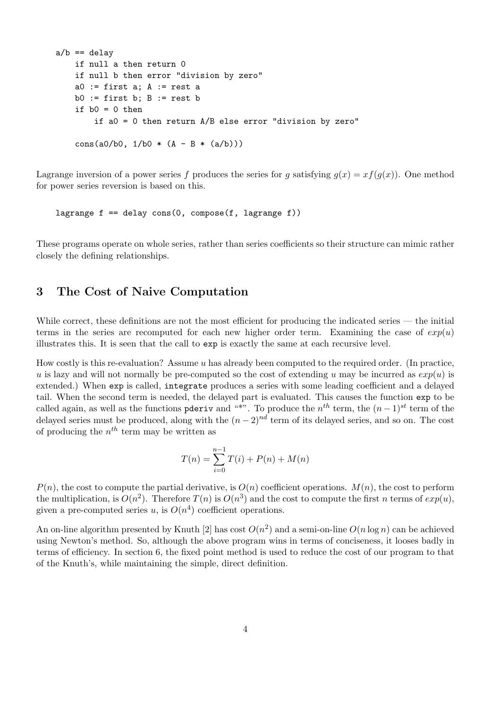```
a/b == delay
    if null a then return 0
    if null b then error "division by zero"
    a0 := first a; A := rest ab0 := first b; B := rest b
    if b0 = 0 then
        if a0 = 0 then return A/B else error "division by zero"
    cons(a0/b0, 1/b0 * (A - B * (a/b)))
```
Lagrange inversion of a power series f produces the series for g satisfying  $g(x) = xf(g(x))$ . One method for power series reversion is based on this.

lagrange  $f = -$  delay  $cons(0, compose(f, lagrange f))$ 

These programs operate on whole series, rather than series coefficients so their structure can mimic rather closely the defining relationships.

# 3 The Cost of Naive Computation

While correct, these definitions are not the most efficient for producing the indicated series — the initial terms in the series are recomputed for each new higher order term. Examining the case of  $exp(u)$ illustrates this. It is seen that the call to exp is exactly the same at each recursive level.

How costly is this re-evaluation? Assume  $u$  has already been computed to the required order. (In practice, u is lazy and will not normally be pre-computed so the cost of extending u may be incurred as  $exp(u)$  is extended.) When exp is called, integrate produces a series with some leading coefficient and a delayed tail. When the second term is needed, the delayed part is evaluated. This causes the function exp to be called again, as well as the functions pderiv and "\*". To produce the  $n^{th}$  term, the  $(n-1)^{st}$  term of the delayed series must be produced, along with the  $(n-2)^{nd}$  term of its delayed series, and so on. The cost of producing the  $n^{th}$  term may be written as

$$
T(n) = \sum_{i=0}^{n-1} T(i) + P(n) + M(n)
$$

 $P(n)$ , the cost to compute the partial derivative, is  $O(n)$  coefficient operations.  $M(n)$ , the cost to perform the multiplication, is  $O(n^2)$ . Therefore  $T(n)$  is  $O(n^3)$  and the cost to compute the first n terms of  $exp(u)$ , given a pre-computed series u, is  $O(n^4)$  coefficient operations.

An on-line algorithm presented by Knuth [2] has cost  $O(n^2)$  and a semi-on-line  $O(n \log n)$  can be achieved using Newton's method. So, although the above program wins in terms of conciseness, it looses badly in terms of efficiency. In section 6, the fixed point method is used to reduce the cost of our program to that of the Knuth's, while maintaining the simple, direct definition.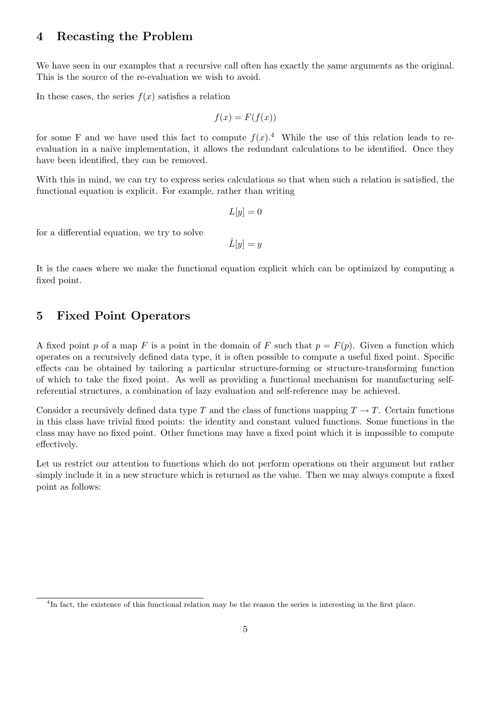### 4 Recasting the Problem

We have seen in our examples that a recursive call often has exactly the same arguments as the original. This is the source of the re-evaluation we wish to avoid.

In these cases, the series  $f(x)$  satisfies a relation

$$
f(x) = F(f(x))
$$

for some F and we have used this fact to compute  $f(x)$ .<sup>4</sup> While the use of this relation leads to reevaluation in a naive implementation, it allows the redundant calculations to be identified. Once they have been identified, they can be removed.

With this in mind, we can try to express series calculations so that when such a relation is satisfied, the functional equation is explicit. For example, rather than writing

$$
L[y] = 0
$$

for a differential equation, we try to solve

 $\hat{L}[y] = y$ 

It is the cases where we make the functional equation explicit which can be optimized by computing a fixed point.

### 5 Fixed Point Operators

A fixed point p of a map F is a point in the domain of F such that  $p = F(p)$ . Given a function which operates on a recursively defined data type, it is often possible to compute a useful fixed point. Specific effects can be obtained by tailoring a particular structure-forming or structure-transforming function of which to take the fixed point. As well as providing a functional mechanism for manufacturing selfreferential structures, a combination of lazy evaluation and self-reference may be achieved.

Consider a recursively defined data type T and the class of functions mapping  $T \to T$ . Certain functions in this class have trivial fixed points: the identity and constant valued functions. Some functions in the class may have no fixed point. Other functions may have a fixed point which it is impossible to compute effectively.

Let us restrict our attention to functions which do not perform operations on their argument but rather simply include it in a new structure which is returned as the value. Then we may always compute a fixed point as follows:

<sup>&</sup>lt;sup>4</sup>In fact, the existence of this functional relation may be the reason the series is interesting in the first place.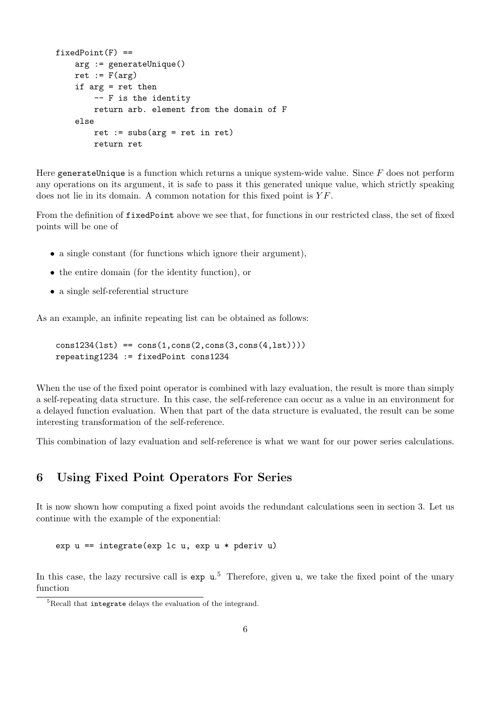```
fixedPoint(F) ==arg := generateUnique()
    ret := F(\arg)if arg = ret then
        -- F is the identity
        return arb. element from the domain of F
    else
        ret := subs(arg = ret in ret)return ret
```
Here generateUnique is a function which returns a unique system-wide value. Since  $F$  does not perform any operations on its argument, it is safe to pass it this generated unique value, which strictly speaking does not lie in its domain. A common notation for this fixed point is  $YF$ .

From the definition of fixedPoint above we see that, for functions in our restricted class, the set of fixed points will be one of

- a single constant (for functions which ignore their argument),
- the entire domain (for the identity function), or
- a single self-referential structure

As an example, an infinite repeating list can be obtained as follows:

```
cons1234(lst) == cons(1,cons(2,cons(3,cons(4,lst))))repeating1234 := fixedPoint cons1234
```
When the use of the fixed point operator is combined with lazy evaluation, the result is more than simply a self-repeating data structure. In this case, the self-reference can occur as a value in an environment for a delayed function evaluation. When that part of the data structure is evaluated, the result can be some interesting transformation of the self-reference.

This combination of lazy evaluation and self-reference is what we want for our power series calculations.

### 6 Using Fixed Point Operators For Series

It is now shown how computing a fixed point avoids the redundant calculations seen in section 3. Let us continue with the example of the exponential:

exp  $u ==$  integrate (exp lc  $u$ , exp  $u *$  pderiv  $u$ )

In this case, the lazy recursive call is exp  $u^5$ . Therefore, given u, we take the fixed point of the unary function

<sup>5</sup>Recall that integrate delays the evaluation of the integrand.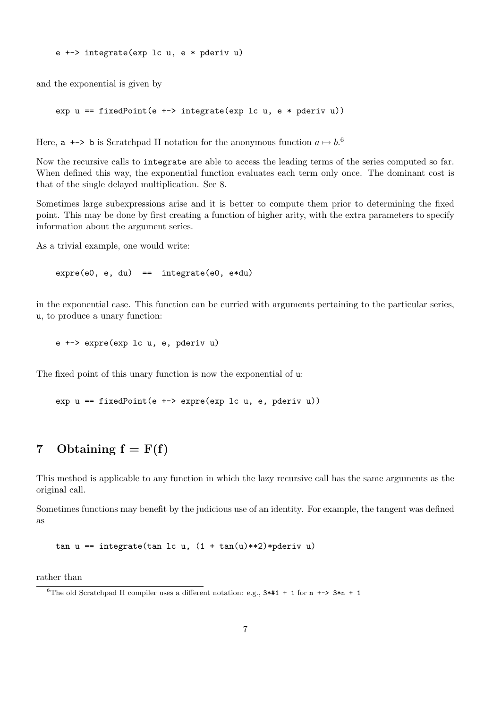and the exponential is given by

```
exp u = fixedPoint(e +=) interface(exp lc u, e * pderiv u)
```
Here,  $a \leftrightarrow b$  is Scratchpad II notation for the anonymous function  $a \mapsto b$ .<sup>6</sup>

Now the recursive calls to integrate are able to access the leading terms of the series computed so far. When defined this way, the exponential function evaluates each term only once. The dominant cost is that of the single delayed multiplication. See 8.

Sometimes large subexpressions arise and it is better to compute them prior to determining the fixed point. This may be done by first creating a function of higher arity, with the extra parameters to specify information about the argument series.

As a trivial example, one would write:

 $expre(e0, e, du) == integerate(e0, e*du)$ 

in the exponential case. This function can be curried with arguments pertaining to the particular series, u, to produce a unary function:

```
e +-> expre(exp lc u, e, pderiv u)
```
The fixed point of this unary function is now the exponential of u:

exp  $u == fixedPoint(e +=> expre(exp lc u, e, pderiv u))$ 

# 7 Obtaining  $f = F(f)$

This method is applicable to any function in which the lazy recursive call has the same arguments as the original call.

Sometimes functions may benefit by the judicious use of an identity. For example, the tangent was defined as

tan u == integrate(tan 1c u,  $(1 + tan(u) **2) * pderiv u)$ 

rather than

<sup>&</sup>lt;sup>6</sup>The old Scratchpad II compiler uses a different notation: e.g.,  $3*#1 + 1$  for  $n \rightarrow -3*n + 1$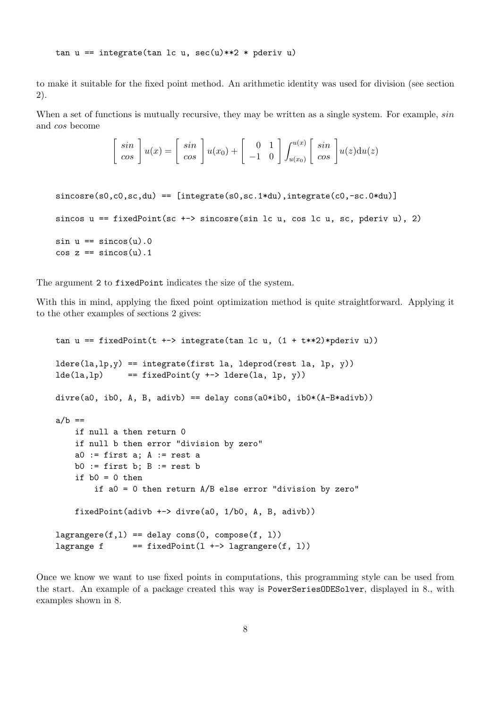to make it suitable for the fixed point method. An arithmetic identity was used for division (see section 2).

When a set of functions is mutually recursive, they may be written as a single system. For example,  $sin$ and cos become

$$
\begin{bmatrix}\nsin \\
cos\n\end{bmatrix} u(x) = \begin{bmatrix}\nsin \\
cos\n\end{bmatrix} u(x_0) + \begin{bmatrix}\n0 & 1 \\
-1 & 0\n\end{bmatrix} \int_{u(x_0)}^{u(x)} \begin{bmatrix}\nsin \\
cos\n\end{bmatrix} u(z) \mathrm{d}u(z)
$$

```
since(s0, c0, sc, du) == [integrate(s0, sc.1*du), integrate(c0, -sc.0*du)]sincos u == fixedPoint(sc +-> sincosre(sin lc u, cos lc u, sc, pderiv u), 2)
sin u = sin cos(u).0
cos z == sin cos(u).1
```
The argument 2 to fixedPoint indicates the size of the system.

With this in mind, applying the fixed point optimization method is quite straightforward. Applying it to the other examples of sections 2 gives:

```
tan u == fixedPoint(t +-> integrate(tan lc u, (1 + t**2)*pderiv u))
ldere(la,lp,y) == integrate(first la, ldeprod(rest la, lp, y))lde(la,1p) == fixedPoint(y +-> ldere(la, lp, y))
divre(a0, ib0, A, B, adivb) == delay cons(a0*ib0, ib0*(A-B*adivb))
a/b ==if null a then return 0
    if null b then error "division by zero"
   a0 := first a; A := rest ab0 := first b; B := rest b
    if b0 = 0 then
        if a0 = 0 then return A/B else error "division by zero"
    fixedPoint(adivb +-> divre(a0, 1/b0, A, B, adivb))
lagrangeref(1) == delay cons(0, compose(f, 1))lagrange f = = fixedPoint(1 + -\lambda) lagrangere(f, 1))
```
Once we know we want to use fixed points in computations, this programming style can be used from the start. An example of a package created this way is PowerSeriesODESolver, displayed in 8., with examples shown in 8.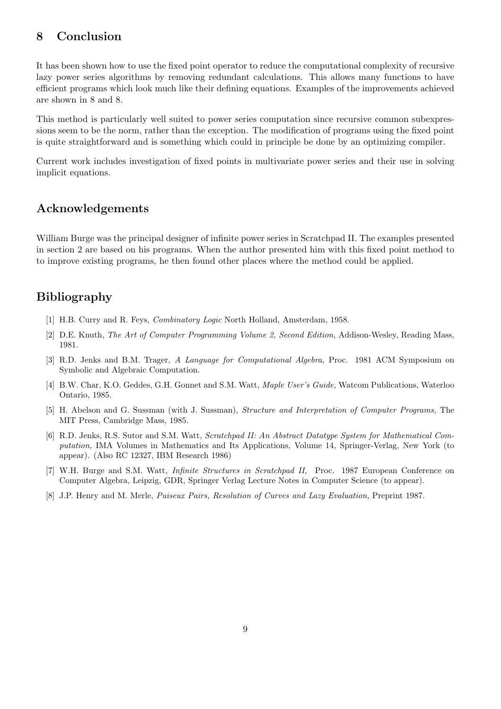# 8 Conclusion

It has been shown how to use the fixed point operator to reduce the computational complexity of recursive lazy power series algorithms by removing redundant calculations. This allows many functions to have efficient programs which look much like their defining equations. Examples of the improvements achieved are shown in 8 and 8.

This method is particularly well suited to power series computation since recursive common subexpressions seem to be the norm, rather than the exception. The modification of programs using the fixed point is quite straightforward and is something which could in principle be done by an optimizing compiler.

Current work includes investigation of fixed points in multivariate power series and their use in solving implicit equations.

## Acknowledgements

William Burge was the principal designer of infinite power series in Scratchpad II. The examples presented in section 2 are based on his programs. When the author presented him with this fixed point method to to improve existing programs, he then found other places where the method could be applied.

# Bibliography

- [1] H.B. Curry and R. Feys, Combinatory Logic North Holland, Amsterdam, 1958.
- [2] D.E. Knuth, The Art of Computer Programming Volume 2, Second Edition, Addison-Wesley, Reading Mass, 1981.
- [3] R.D. Jenks and B.M. Trager, A Language for Computational Algebra, Proc. 1981 ACM Symposium on Symbolic and Algebraic Computation.
- [4] B.W. Char, K.O. Geddes, G.H. Gonnet and S.M. Watt, Maple User's Guide, Watcom Publications, Waterloo Ontario, 1985.
- [5] H. Abelson and G. Sussman (with J. Sussman), Structure and Interpretation of Computer Programs, The MIT Press, Cambridge Mass, 1985.
- [6] R.D. Jenks, R.S. Sutor and S.M. Watt, Scratchpad II: An Abstract Datatype System for Mathematical Computation, IMA Volumes in Mathematics and Its Applications, Volume 14, Springer-Verlag, New York (to appear). (Also RC 12327, IBM Research 1986)
- [7] W.H. Burge and S.M. Watt, Infinite Structures in Scratchpad II, Proc. 1987 European Conference on Computer Algebra, Leipzig, GDR, Springer Verlag Lecture Notes in Computer Science (to appear).
- [8] J.P. Henry and M. Merle, Puiseux Pairs, Resolution of Curves and Lazy Evaluation, Preprint 1987.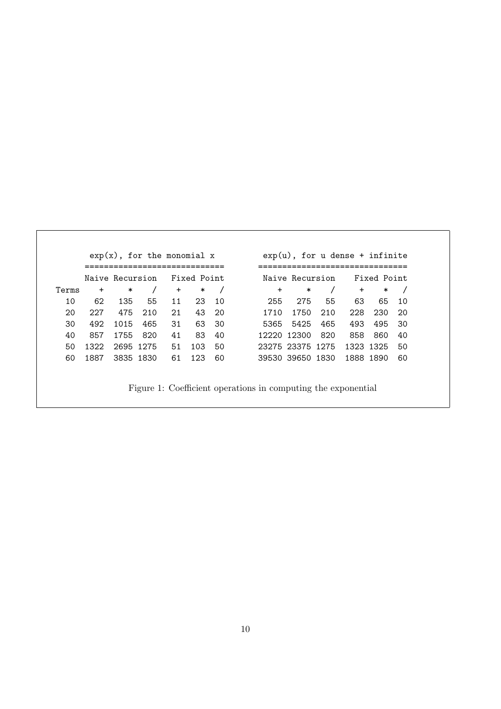|     | Fixed Point |           | Naive Recursion |                  |         | Fixed Point |        | Naive Recursion |     |           |           |       |
|-----|-------------|-----------|-----------------|------------------|---------|-------------|--------|-----------------|-----|-----------|-----------|-------|
|     | $\ast$      | $\ddot{}$ |                 | ∗                | $\ddag$ |             | $\ast$ | $+$             |     | $\ast$    | $\ddot{}$ | Terms |
| 10  | 65          | 63        | 55              | 275              | 255     | 10          | 23     | 11              | 55  | 135       | 62        | 10    |
| -20 | 230         | 228       | 210             | 1750             | 1710    | -20         | 43     | 21              | 210 | 475       | 227       | 20    |
| -30 | 495         | 493       | 465             | 5365 5425        |         | -30         | 63     | 31              | 465 | 1015      | 492       | 30    |
| 40  | 860         | 858       | 820             | 12220 12300      |         | 40          | 83     | 41              | 820 | 1755      | 857       | 40    |
| 50  |             | 1323 1325 |                 | 23275 23375 1275 |         | 50          | 103    | 51              |     | 2695 1275 | 1322      | 50    |
| 60  |             | 1888 1890 |                 | 39530 39650 1830 |         | 60          | 123    | 61              |     | 3835 1830 | 1887      | 60    |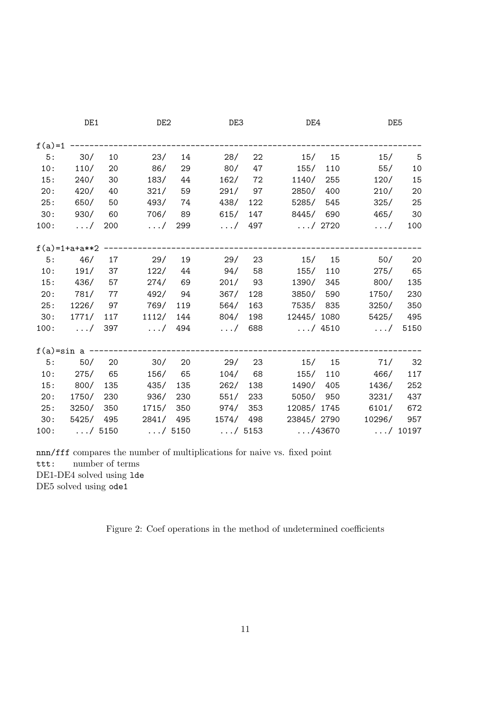|          | DE1                   |         | DE <sub>2</sub> |           | DE3            |               | DE4                          |     | DE5                    |         |
|----------|-----------------------|---------|-----------------|-----------|----------------|---------------|------------------------------|-----|------------------------|---------|
| $f(a)=1$ |                       |         |                 |           |                |               |                              |     |                        |         |
| 5:       | 30/                   | 10      | 23/             | 14        | 28/            | 22            | 15/15                        |     | 15/                    | $-5$    |
| 10:      | 110/                  | 20      | 86/             | 29        | 80/            | 47            | 155/                         | 110 | 55/                    | $10\,$  |
| 15:      | 240/                  | 30      | 183/            | 44        | 162/           | 72            | 1140/                        | 255 | 120/                   | 15      |
| 20:      | 420/                  | 40      | 321/            | 59        |                | 291/97        | 2850/ 400                    |     | 210/                   | 20      |
| 25:      | 650/                  | 50      | 493/            | 74        | 438/           | 122           | 5285/ 545                    |     | 325/                   | 25      |
| 30:      | 930/                  | - 60    | 706/            | 89        | 615/           |               | 147<br>8445/ 690             |     | 465/                   | 30      |
| 100:     | $\ldots/$             | 200     | $\ldots/$       | 299       |                |               | $\ldots/$ 497 $\ldots/$ 2720 |     | $\ldots/$              | 100     |
|          | $f(a)=1+a+a**2$       |         |                 |           |                |               |                              |     |                        |         |
|          | 5: 46/ 17             |         | 29/             | 19        | 29/            | 23            | 15/ 15                       |     | 50/                    | 20      |
| 10:      |                       | 191/ 37 |                 | $122/$ 44 | 94/ 58         |               | 155/ 110                     |     |                        | 275/ 65 |
| 15:      | 436/                  | 57      | 274/            | 69        | 201/           | 93            | 1390/ 345                    |     | 800/                   | 135     |
| 20:      | 781/ 77               |         |                 | 492/ 94   | 367/           | 128           | 3850/ 590                    |     | 1750/                  | 230     |
| 25:      | 1226/ 97              |         | 769/            | 119       | 564/           | 163           | 7535/ 835                    |     | 3250/                  | 350     |
| 30:      | 1771/ 117             |         | 1112/ 144       |           | 804/           | 198           | 12445/1080                   |     | 5425/                  | 495     |
| 100:     | $\ldots/$ 397         |         | $\ldots/$ 494   |           |                | $\ldots/$ 688 |                              |     | $\dots/$ 4510 $\dots/$ | 5150    |
|          | $f(a) = sin a$ ------ |         |                 |           |                |               |                              |     |                        |         |
| 5:       | 50/20                 |         | 30/20           |           | 29/            | 23            |                              |     | $15/$ 15 $71/$         | 32      |
| 10:      | 275/                  | 65      | 156/            | 65        | 104/           | 68            | 155/ 110                     |     | 466/                   | 117     |
| 15:      | 800/ 135              |         | 435/            | 135       | 262/           | 138           | 1490/ 405                    |     | 1436/                  | 252     |
| 20:      | 1750/ 230             |         | 936/            | 230       | 551/           |               | 233<br>5050/ 950             |     | 3231/                  | 437     |
| 25:      | 3250/ 350             |         | 1715/           |           | 350<br>974/    | 353           | 12085/1745                   |     | 6101/                  | 672     |
| 30:      | 5425/ 495             |         | 2841/ 495       |           | 1574/ 498      |               | 23845/2790                   |     | 10296/                 | 957     |
| 100:     | $\dots/$ 5150         |         | $\ldots/$ 5150  |           | $\ldots/$ 5153 |               | $\ldots/43670$               |     | $\ldots/$ 10197        |         |

nnn/fff compares the number of multiplications for naive vs. fixed point

ttt: number of terms

DE1-DE4 solved using lde

DE5 solved using ode1

Figure 2: Coef operations in the method of undetermined coefficients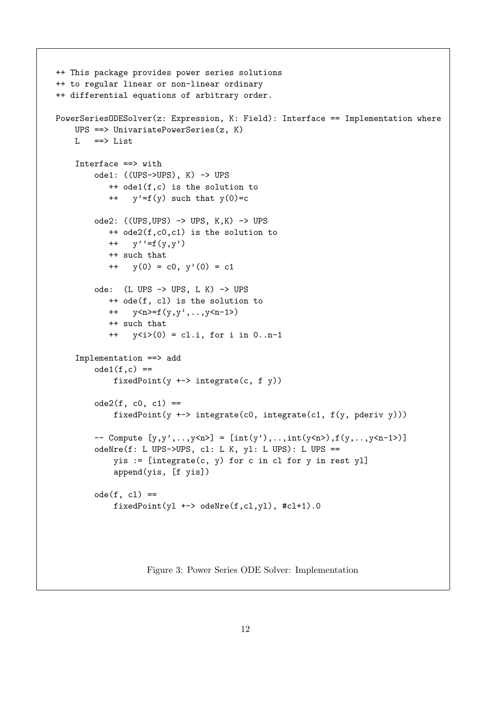```
++ This package provides power series solutions
++ to regular linear or non-linear ordinary
++ differential equations of arbitrary order.
PowerSeriesODESolver(z: Expression, K: Field): Interface == Implementation where
    UPS ==> UnivariatePowerSeries(z, K)
    L ==> List
    Interface ==> with
        ode1: ((UPS->UPS), K) -> UPS
            ++ ode1(f,c) is the solution to
            + y'=f(y) such that y(0)=c
        ode2: ((UPS, UPS) \rightarrow UPS, K, K) \rightarrow UPS++ ode2(f,c0,c1) is the solution to
           ++ y''=f(y,y')
           ++ such that
            ++ y(0) = c0, y'(0) = c1
        ode: (L UPS -> UPS, L K) -> UPS
            ++ ode(f, cl) is the solution to
            ++ y < n>=f(y,y',..,y< n - 1>)
            ++ such that
            ++ y<i>(0) = cl.i, for i in 0..n-1
    Implementation ==> add
        ode1(f,c) ==fixedPoint(y \text{+-} > integrate(c, f y))ode2(f, c0, c1) ==fixedPoint(y +-> integrate(c0, integrate(c1, f(y, pderiv y)))
        \text{-} Compute [y, y', \ldots, y \le n] = [\text{int}(y'), \ldots, \text{int}(y \le n)], f(y, \ldots, y \le n-1)odeNre(f: L UPS->UPS, cl: L K, yl: L UPS): L UPS ==
             yis := [integrate(c, y) for c in cl for y in rest yl]
             append(yis, [f yis])
        ode(f, c1) ==fixedPoint(y1 \text{+-} > odeNre(f, c1, y1), \text{+}c1+1).0
```
Figure 3: Power Series ODE Solver: Implementation